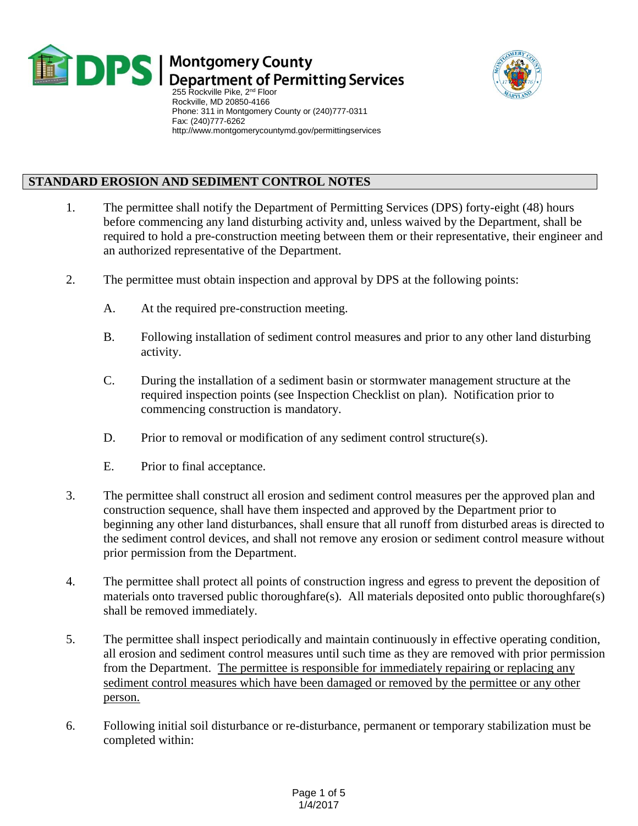

## **DPS** | Montgomery County<br>DPS | Department of Permitting Services



255 Rockville Pike, 2<sup>nd</sup> Floor Rockville, MD 20850-4166 Phone: 311 in Montgomery County or (240)777-0311 Fax: (240)777-6262 http://www.montgomerycountymd.gov/permittingservices

## **STANDARD EROSION AND SEDIMENT CONTROL NOTES**

- 1. The permittee shall notify the Department of Permitting Services (DPS) forty-eight (48) hours before commencing any land disturbing activity and, unless waived by the Department, shall be required to hold a pre-construction meeting between them or their representative, their engineer and an authorized representative of the Department.
- 2. The permittee must obtain inspection and approval by DPS at the following points:
	- A. At the required pre-construction meeting.
	- B. Following installation of sediment control measures and prior to any other land disturbing activity.
	- C. During the installation of a sediment basin or stormwater management structure at the required inspection points (see Inspection Checklist on plan). Notification prior to commencing construction is mandatory.
	- D. Prior to removal or modification of any sediment control structure(s).
	- E. Prior to final acceptance.
- 3. The permittee shall construct all erosion and sediment control measures per the approved plan and construction sequence, shall have them inspected and approved by the Department prior to beginning any other land disturbances, shall ensure that all runoff from disturbed areas is directed to the sediment control devices, and shall not remove any erosion or sediment control measure without prior permission from the Department.
- 4. The permittee shall protect all points of construction ingress and egress to prevent the deposition of materials onto traversed public thoroughfare(s). All materials deposited onto public thoroughfare(s) shall be removed immediately.
- 5. The permittee shall inspect periodically and maintain continuously in effective operating condition, all erosion and sediment control measures until such time as they are removed with prior permission from the Department. The permittee is responsible for immediately repairing or replacing any sediment control measures which have been damaged or removed by the permittee or any other person.
- 6. Following initial soil disturbance or re-disturbance, permanent or temporary stabilization must be completed within: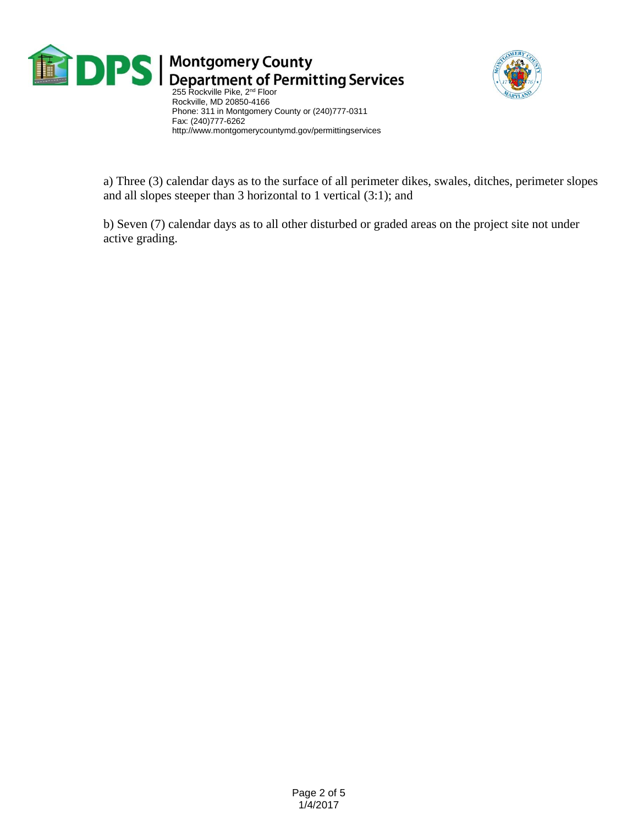

 $\blacksquare$  Department of Permitting Services<br>255 Rockville Pike, 2<sup>nd</sup> Floor



 Rockville, MD 20850-4166 Phone: 311 in Montgomery County or (240)777-0311 Fax: (240)777-6262 http://www.montgomerycountymd.gov/permittingservices

a) Three (3) calendar days as to the surface of all perimeter dikes, swales, ditches, perimeter slopes and all slopes steeper than 3 horizontal to 1 vertical (3:1); and

b) Seven (7) calendar days as to all other disturbed or graded areas on the project site not under active grading.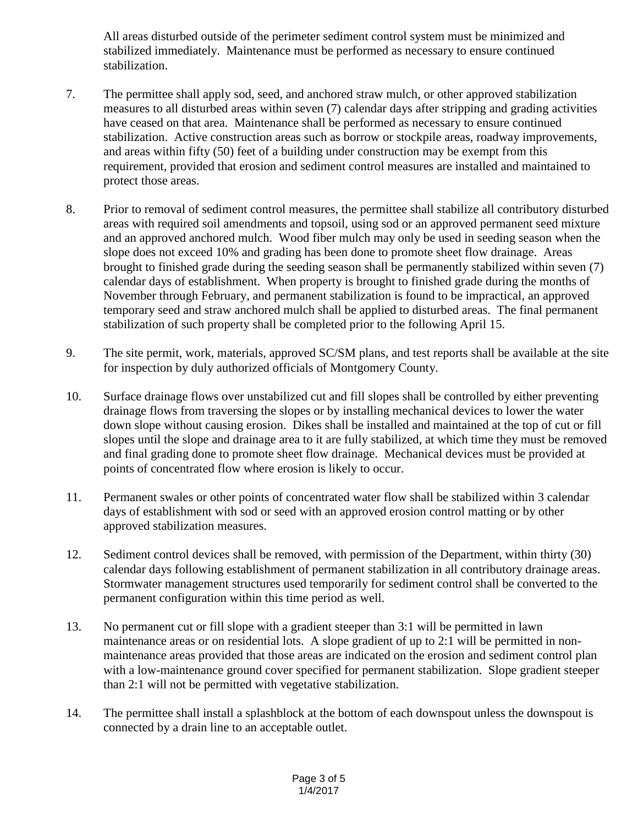All areas disturbed outside of the perimeter sediment control system must be minimized and stabilized immediately. Maintenance must be performed as necessary to ensure continued stabilization.

- 7. The permittee shall apply sod, seed, and anchored straw mulch, or other approved stabilization measures to all disturbed areas within seven (7) calendar days after stripping and grading activities have ceased on that area. Maintenance shall be performed as necessary to ensure continued stabilization. Active construction areas such as borrow or stockpile areas, roadway improvements, and areas within fifty (50) feet of a building under construction may be exempt from this requirement, provided that erosion and sediment control measures are installed and maintained to protect those areas.
- 8. Prior to removal of sediment control measures, the permittee shall stabilize all contributory disturbed areas with required soil amendments and topsoil, using sod or an approved permanent seed mixture and an approved anchored mulch. Wood fiber mulch may only be used in seeding season when the slope does not exceed 10% and grading has been done to promote sheet flow drainage. Areas brought to finished grade during the seeding season shall be permanently stabilized within seven (7) calendar days of establishment. When property is brought to finished grade during the months of November through February, and permanent stabilization is found to be impractical, an approved temporary seed and straw anchored mulch shall be applied to disturbed areas. The final permanent stabilization of such property shall be completed prior to the following April 15.
- 9. The site permit, work, materials, approved SC/SM plans, and test reports shall be available at the site for inspection by duly authorized officials of Montgomery County.
- 10. Surface drainage flows over unstabilized cut and fill slopes shall be controlled by either preventing drainage flows from traversing the slopes or by installing mechanical devices to lower the water down slope without causing erosion. Dikes shall be installed and maintained at the top of cut or fill slopes until the slope and drainage area to it are fully stabilized, at which time they must be removed and final grading done to promote sheet flow drainage. Mechanical devices must be provided at points of concentrated flow where erosion is likely to occur.
- 11. Permanent swales or other points of concentrated water flow shall be stabilized within 3 calendar days of establishment with sod or seed with an approved erosion control matting or by other approved stabilization measures.
- 12. Sediment control devices shall be removed, with permission of the Department, within thirty (30) calendar days following establishment of permanent stabilization in all contributory drainage areas. Stormwater management structures used temporarily for sediment control shall be converted to the permanent configuration within this time period as well.
- 13. No permanent cut or fill slope with a gradient steeper than 3:1 will be permitted in lawn maintenance areas or on residential lots. A slope gradient of up to 2:1 will be permitted in nonmaintenance areas provided that those areas are indicated on the erosion and sediment control plan with a low-maintenance ground cover specified for permanent stabilization. Slope gradient steeper than 2:1 will not be permitted with vegetative stabilization.
- 14. The permittee shall install a splashblock at the bottom of each downspout unless the downspout is connected by a drain line to an acceptable outlet.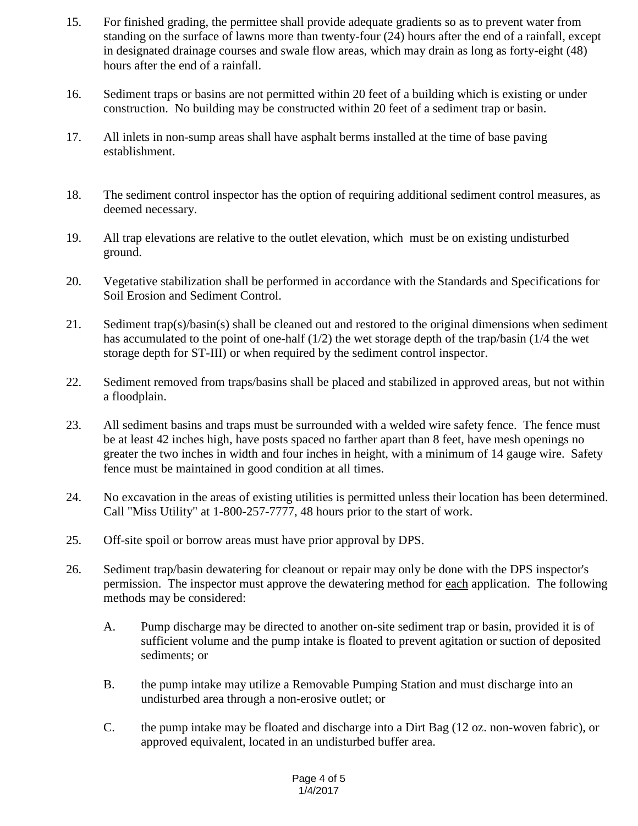- 15. For finished grading, the permittee shall provide adequate gradients so as to prevent water from standing on the surface of lawns more than twenty-four (24) hours after the end of a rainfall, except in designated drainage courses and swale flow areas, which may drain as long as forty-eight (48) hours after the end of a rainfall.
- 16. Sediment traps or basins are not permitted within 20 feet of a building which is existing or under construction. No building may be constructed within 20 feet of a sediment trap or basin.
- 17. All inlets in non-sump areas shall have asphalt berms installed at the time of base paving establishment.
- 18. The sediment control inspector has the option of requiring additional sediment control measures, as deemed necessary.
- 19. All trap elevations are relative to the outlet elevation, which must be on existing undisturbed ground.
- 20. Vegetative stabilization shall be performed in accordance with the Standards and Specifications for Soil Erosion and Sediment Control.
- 21. Sediment trap(s)/basin(s) shall be cleaned out and restored to the original dimensions when sediment has accumulated to the point of one-half (1/2) the wet storage depth of the trap/basin (1/4 the wet storage depth for ST-III) or when required by the sediment control inspector.
- 22. Sediment removed from traps/basins shall be placed and stabilized in approved areas, but not within a floodplain.
- 23. All sediment basins and traps must be surrounded with a welded wire safety fence. The fence must be at least 42 inches high, have posts spaced no farther apart than 8 feet, have mesh openings no greater the two inches in width and four inches in height, with a minimum of 14 gauge wire. Safety fence must be maintained in good condition at all times.
- 24. No excavation in the areas of existing utilities is permitted unless their location has been determined. Call "Miss Utility" at 1-800-257-7777, 48 hours prior to the start of work.
- 25. Off-site spoil or borrow areas must have prior approval by DPS.
- 26. Sediment trap/basin dewatering for cleanout or repair may only be done with the DPS inspector's permission. The inspector must approve the dewatering method for each application. The following methods may be considered:
	- A. Pump discharge may be directed to another on-site sediment trap or basin, provided it is of sufficient volume and the pump intake is floated to prevent agitation or suction of deposited sediments; or
	- B. the pump intake may utilize a Removable Pumping Station and must discharge into an undisturbed area through a non-erosive outlet; or
	- C. the pump intake may be floated and discharge into a Dirt Bag (12 oz. non-woven fabric), or approved equivalent, located in an undisturbed buffer area.